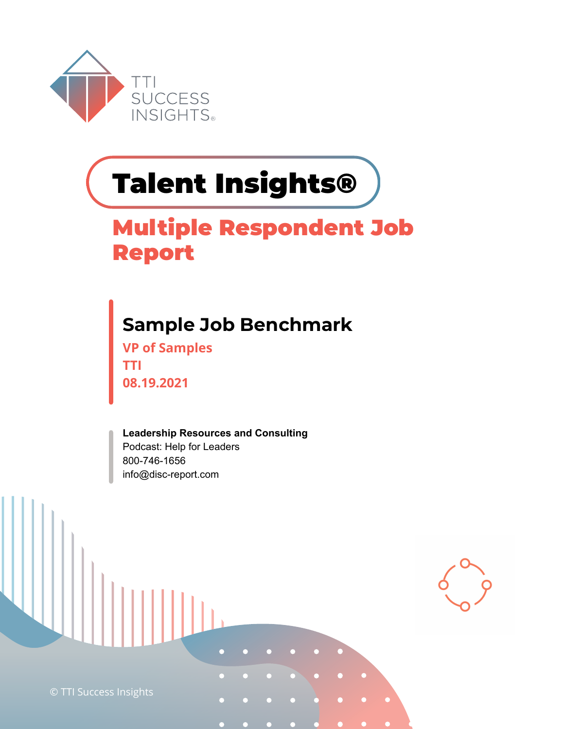

# **Talent Insights®**

#### **Multiple Respondent Job Report**

#### **Sample Job Benchmark**

**VP of Samples TTI 08.19.2021**

**Leadership Resources and Consulting**  Podcast: Help for Leaders 800-746-1656 info@disc-report.com

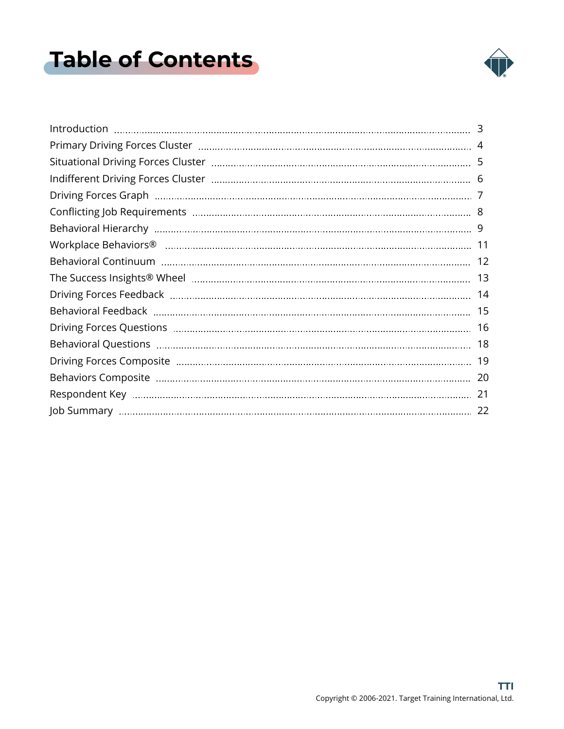### <span id="page-1-0"></span>**Table of Contents**



| 5   |
|-----|
|     |
|     |
|     |
|     |
|     |
|     |
|     |
|     |
| 15  |
| 16  |
| 18  |
| -19 |
|     |
| 21  |
| 22  |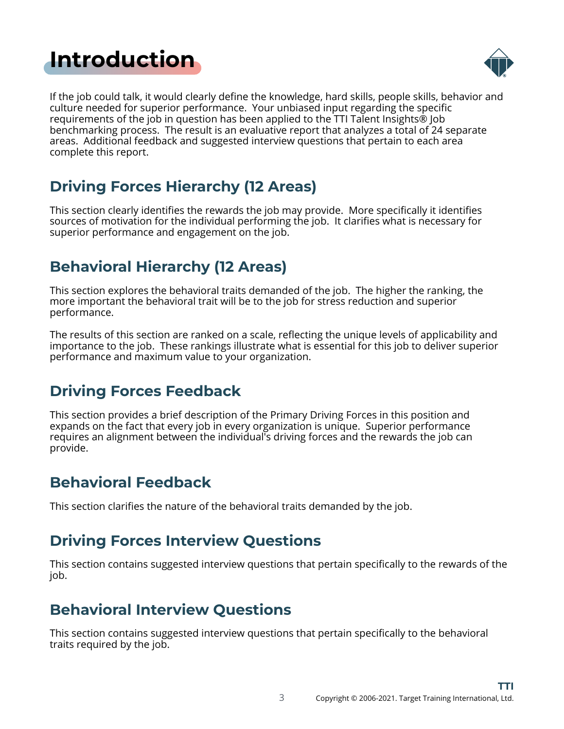#### <span id="page-2-0"></span>**[Introduction](#page-1-0)**



If the job could talk, it would clearly define the knowledge, hard skills, people skills, behavior and culture needed for superior performance. Your unbiased input regarding the specific requirements of the job in question has been applied to the TTI Talent Insights® Job benchmarking process. The result is an evaluative report that analyzes a total of 24 separate areas. Additional feedback and suggested interview questions that pertain to each area complete this report.

#### **Driving Forces Hierarchy (12 Areas)**

This section clearly identifies the rewards the job may provide. More specifically it identifies sources of motivation for the individual performing the job. It clarifies what is necessary for superior performance and engagement on the job.

#### **Behavioral Hierarchy (12 Areas)**

This section explores the behavioral traits demanded of the job. The higher the ranking, the more important the behavioral trait will be to the job for stress reduction and superior performance.

The results of this section are ranked on a scale, reflecting the unique levels of applicability and importance to the job. These rankings illustrate what is essential for this job to deliver superior performance and maximum value to your organization.

#### **Driving Forces Feedback**

This section provides a brief description of the Primary Driving Forces in this position and expands on the fact that every job in every organization is unique. Superior performance requires an alignment between the individual's driving forces and the rewards the job can provide.

#### **Behavioral Feedback**

This section clarifies the nature of the behavioral traits demanded by the job.

#### **Driving Forces Interview Questions**

This section contains suggested interview questions that pertain specifically to the rewards of the job.

#### **Behavioral Interview Questions**

This section contains suggested interview questions that pertain specifically to the behavioral traits required by the job.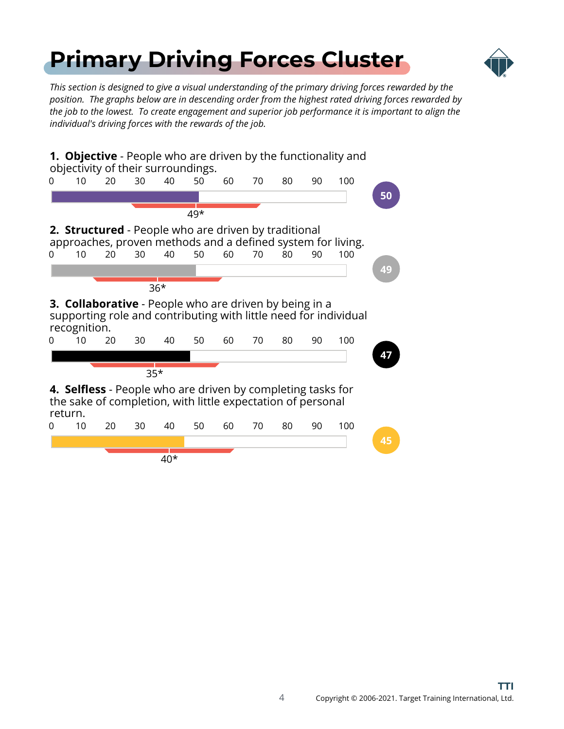### <span id="page-3-0"></span>**[Primary Driving Forces Cluster](#page-1-0)**



*This section is designed to give a visual understanding of the primary driving forces rewarded by the position. The graphs below are in descending order from the highest rated driving forces rewarded by the job to the lowest. To create engagement and superior job performance it is important to align the individual's driving forces with the rewards of the job.*

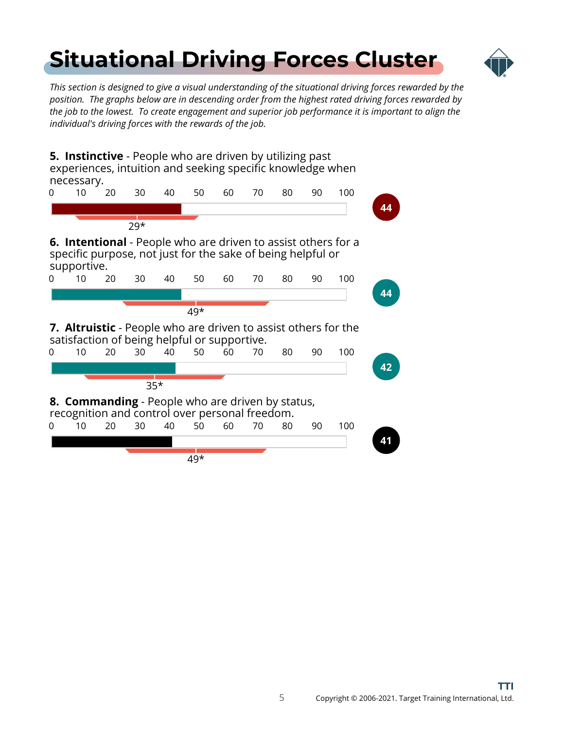### <span id="page-4-0"></span>**[Situational Driving Forces Cluster](#page-1-0)**



*This section is designed to give a visual understanding of the situational driving forces rewarded by the position. The graphs below are in descending order from the highest rated driving forces rewarded by the job to the lowest. To create engagement and superior job performance it is important to align the individual's driving forces with the rewards of the job.*

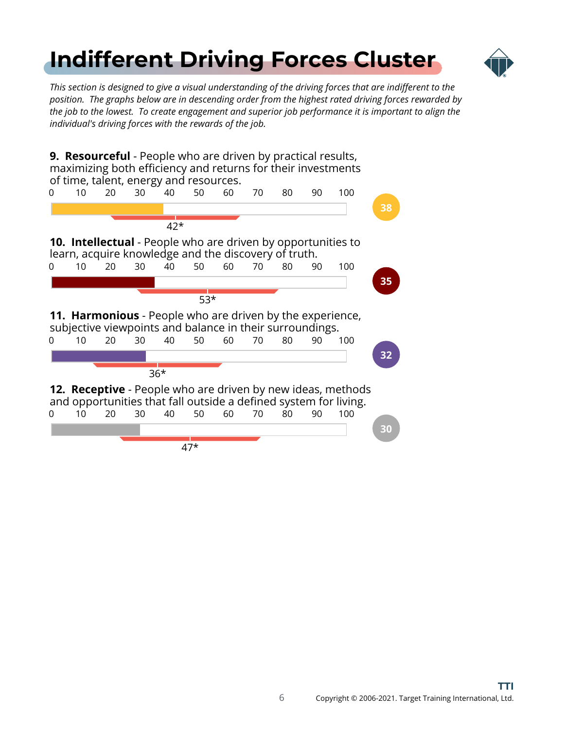### <span id="page-5-0"></span>**[Indifferent Driving Forces Cluster](#page-1-0)**



*This section is designed to give a visual understanding of the driving forces that are indifferent to the position. The graphs below are in descending order from the highest rated driving forces rewarded by the job to the lowest. To create engagement and superior job performance it is important to align the individual's driving forces with the rewards of the job.*

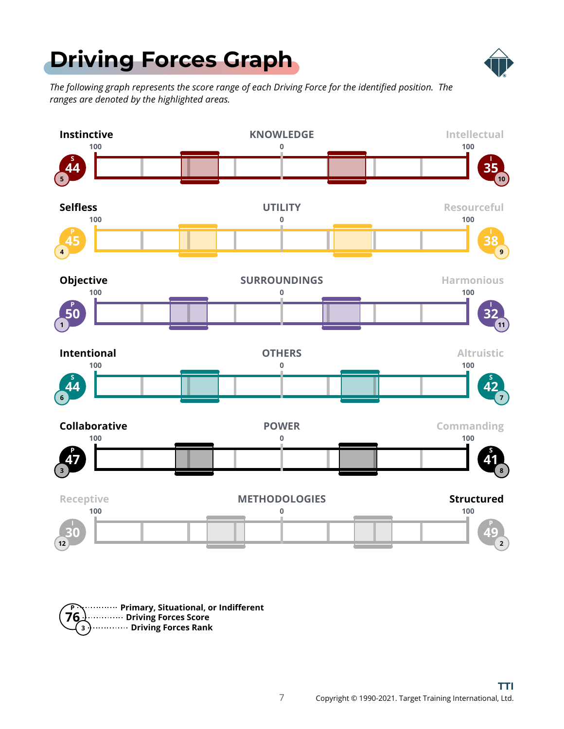### <span id="page-6-0"></span>**[Driving Forces Graph](#page-1-0)**



*The following graph represents the score range of each Driving Force for the identified position. The ranges are denoted by the highlighted areas.*



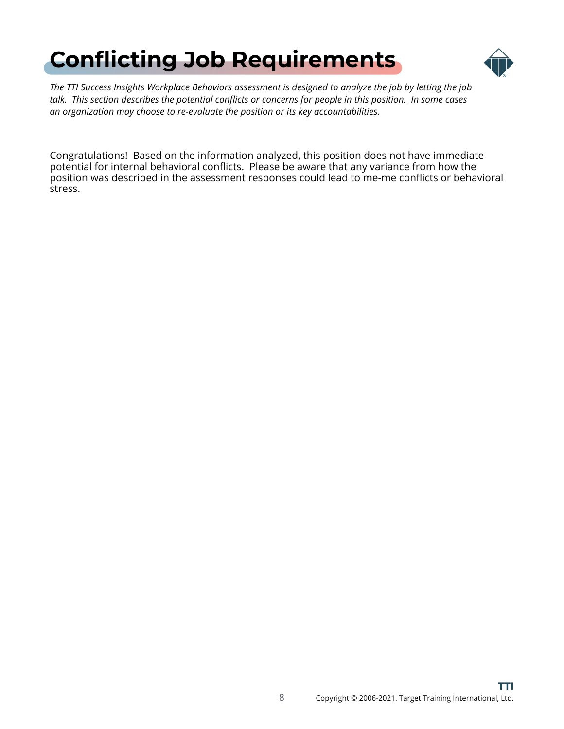### <span id="page-7-0"></span>**[Conflicting Job Requirements](#page-1-0)**



*The TTI Success Insights Workplace Behaviors assessment is designed to analyze the job by letting the job talk. This section describes the potential conflicts or concerns for people in this position. In some cases an organization may choose to re-evaluate the position or its key accountabilities.*

Congratulations! Based on the information analyzed, this position does not have immediate potential for internal behavioral conflicts. Please be aware that any variance from how the position was described in the assessment responses could lead to me-me conflicts or behavioral stress.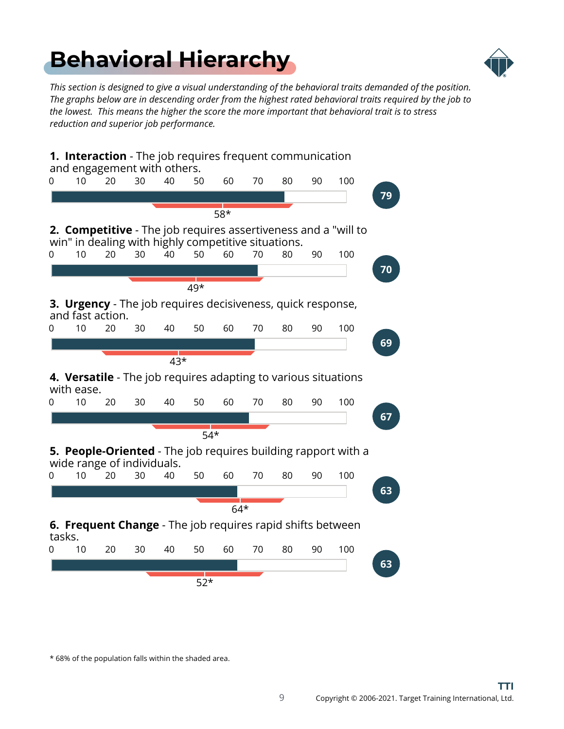### <span id="page-8-0"></span>**[Behavioral Hierarchy](#page-1-0)**



*This section is designed to give a visual understanding of the behavioral traits demanded of the position. The graphs below are in descending order from the highest rated behavioral traits required by the job to the lowest. This means the higher the score the more important that behavioral trait is to stress reduction and superior job performance.*



\* 68% of the population falls within the shaded area.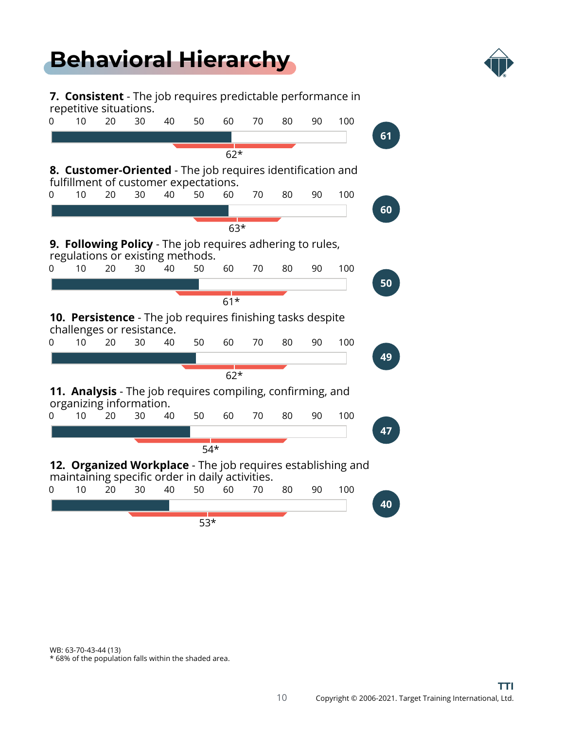#### **[Behavioral Hierarchy](#page-1-0)**



**7. Consistent** - The job requires predictable performance in repetitive situations. 0 10 20 30 40 50 60 70 80 90 100 **61** 62\* **8. Customer-Oriented** - The job requires identification and fulfillment of customer expectations. 0 10 20 30 40 50 60 70 80 90 100 **60** 63\* **9. Following Policy** - The job requires adhering to rules, regulations or existing methods. 0 10 20 30 40 50 60 70 80 90 100 **50** 61\* **10. Persistence** - The job requires finishing tasks despite challenges or resistance. 0 10 20 30 40 50 60 70 80 90 100 **49** 62\* **11. Analysis** - The job requires compiling, confirming, and organizing information. 0 10 20 30 40 50 60 70 80 90 100 **47**

**12. Organized Workplace** - The job requires establishing and maintaining specific order in daily activities.

 $\sqrt{54*}$ 



WB: 63-70-43-44 (13)

\* 68% of the population falls within the shaded area.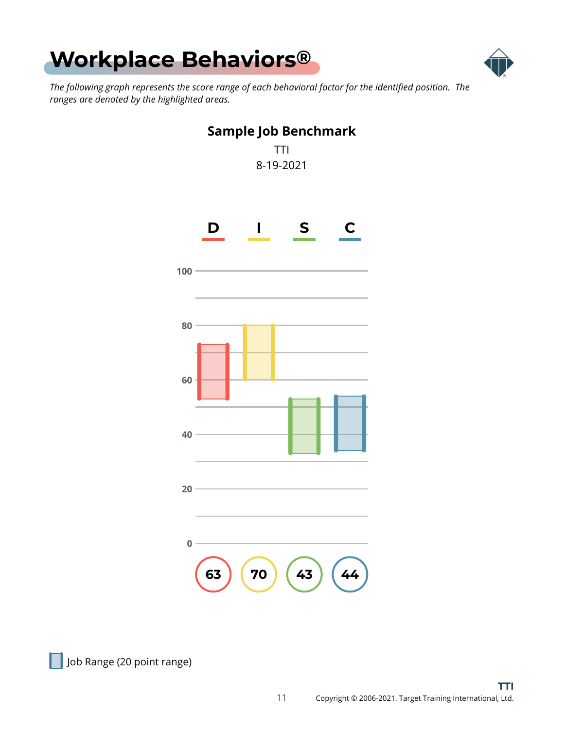<span id="page-10-0"></span>



*The following graph represents the score range of each behavioral factor for the identified position. The ranges are denoted by the highlighted areas.*



Job Range (20 point range)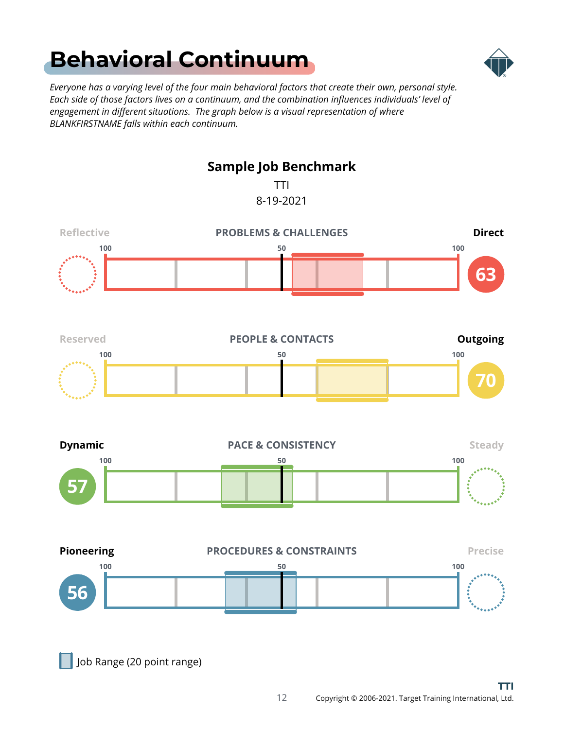### <span id="page-11-0"></span>**[Behavioral Continuum](#page-1-0)**



*Everyone has a varying level of the four main behavioral factors that create their own, personal style. Each side of those factors lives on a continuum, and the combination influences individuals' level of engagement in different situations. The graph below is a visual representation of where BLANKFIRSTNAME falls within each continuum.*



Job Range (20 point range)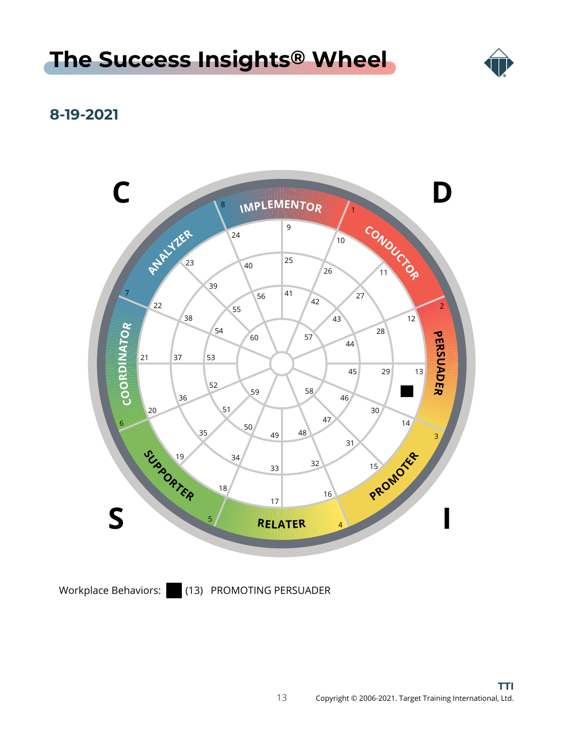#### <span id="page-12-0"></span>**[The Success Insights](#page-1-0) ® Wheel**



#### **8-19-2021**



Workplace Behaviors: (13) PROMOTING PERSUADER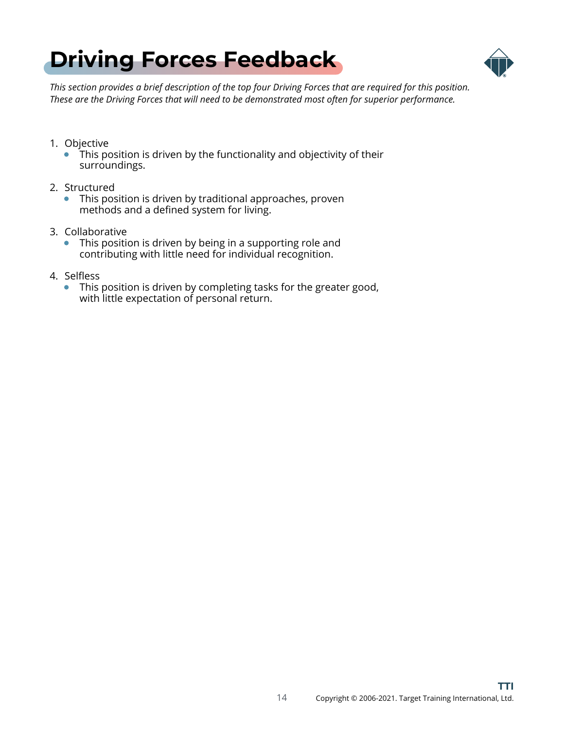<span id="page-13-0"></span>



*This section provides a brief description of the top four Driving Forces that are required for this position. These are the Driving Forces that will need to be demonstrated most often for superior performance.*

- 1. Objective
	- This position is driven by the functionality and objectivity of their surroundings.
- 2. Structured
	- This position is driven by traditional approaches, proven  $\bullet$ methods and a defined system for living.
- 3. Collaborative
	- This position is driven by being in a supporting role and contributing with little need for individual recognition.
- 4. Selfless
	- This position is driven by completing tasks for the greater good,  $\bullet$ with little expectation of personal return.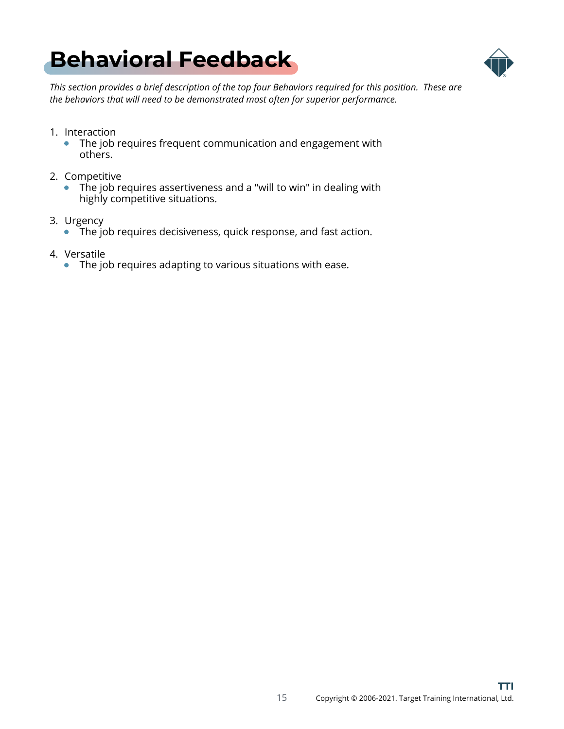### <span id="page-14-0"></span>**[Behavioral Feedback](#page-1-0)**



*This section provides a brief description of the top four Behaviors required for this position. These are the behaviors that will need to be demonstrated most often for superior performance.*

- 1. Interaction
	- The job requires frequent communication and engagement with  $\bullet$ others.
- 2. Competitive
	- The job requires assertiveness and a "will to win" in dealing with  $\bullet$ highly competitive situations.
- 3. Urgency
	- The job requires decisiveness, quick response, and fast action.
- 4. Versatile
	- The job requires adapting to various situations with ease.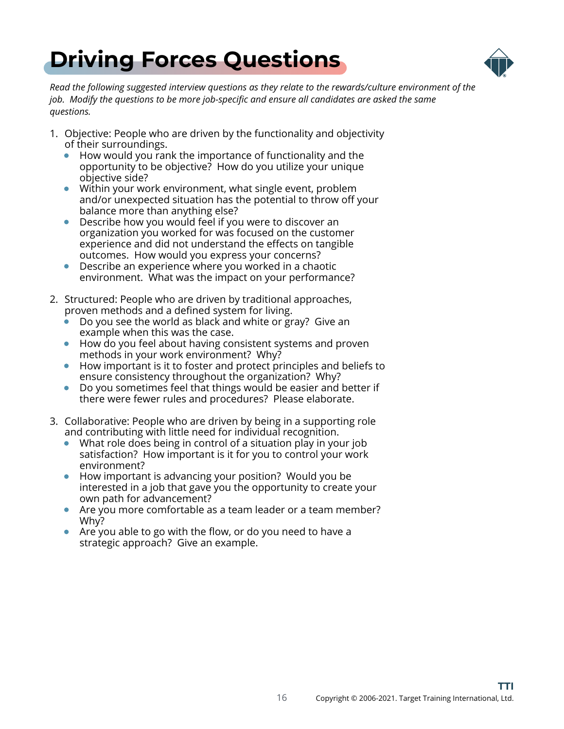<span id="page-15-0"></span>



*Read the following suggested interview questions as they relate to the rewards/culture environment of the job. Modify the questions to be more job-specific and ensure all candidates are asked the same questions.*

- 1. Objective: People who are driven by the functionality and objectivity of their surroundings.
	- How would you rank the importance of functionality and the opportunity to be objective? How do you utilize your unique objective side?
	- Within your work environment, what single event, problem and/or unexpected situation has the potential to throw off your balance more than anything else?
	- Describe how you would feel if you were to discover an  $\bullet$ organization you worked for was focused on the customer experience and did not understand the effects on tangible outcomes. How would you express your concerns?
	- Describe an experience where you worked in a chaotic  $\bullet$ environment. What was the impact on your performance?
- 2. Structured: People who are driven by traditional approaches, proven methods and a defined system for living.
	- Do you see the world as black and white or gray? Give an example when this was the case.
	- How do you feel about having consistent systems and proven  $\bullet$ methods in your work environment? Why?
	- How important is it to foster and protect principles and beliefs to  $\bullet$ ensure consistency throughout the organization? Why?
	- Do you sometimes feel that things would be easier and better if  $\bullet$ there were fewer rules and procedures? Please elaborate.
- 3. Collaborative: People who are driven by being in a supporting role and contributing with little need for individual recognition.
	- What role does being in control of a situation play in your job satisfaction? How important is it for you to control your work environment?
	- How important is advancing your position? Would you be interested in a job that gave you the opportunity to create your own path for advancement?
	- Are you more comfortable as a team leader or a team member? Why?
	- Are you able to go with the flow, or do you need to have a strategic approach? Give an example.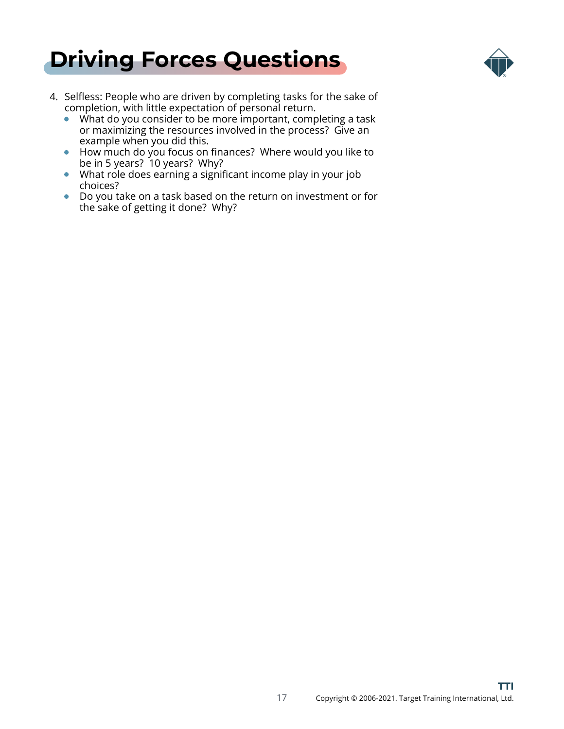



- 4. Selfless: People who are driven by completing tasks for the sake of completion, with little expectation of personal return.
	- What do you consider to be more important, completing a task or maximizing the resources involved in the process? Give an example when you did this.
	- How much do you focus on finances? Where would you like to be in 5 years? 10 years? Why?
	- What role does earning a significant income play in your job choices?
	- Do you take on a task based on the return on investment or for the sake of getting it done? Why?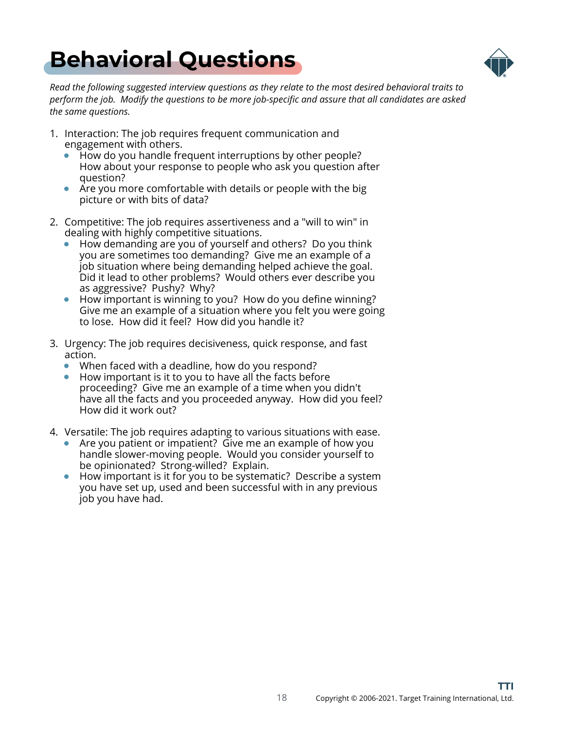### <span id="page-17-0"></span>**[Behavioral Questions](#page-1-0)**



*Read the following suggested interview questions as they relate to the most desired behavioral traits to perform the job. Modify the questions to be more job-specific and assure that all candidates are asked the same questions.*

- 1. Interaction: The job requires frequent communication and engagement with others.
	- How do you handle frequent interruptions by other people? How about your response to people who ask you question after question?
	- Are you more comfortable with details or people with the big picture or with bits of data?
- 2. Competitive: The job requires assertiveness and a "will to win" in dealing with highly competitive situations.
	- How demanding are you of yourself and others? Do you think you are sometimes too demanding? Give me an example of a job situation where being demanding helped achieve the goal. Did it lead to other problems? Would others ever describe you as aggressive? Pushy? Why?
	- How important is winning to you? How do you define winning? Give me an example of a situation where you felt you were going to lose. How did it feel? How did you handle it?
- 3. Urgency: The job requires decisiveness, quick response, and fast action.
	- When faced with a deadline, how do you respond?
	- How important is it to you to have all the facts before proceeding? Give me an example of a time when you didn't have all the facts and you proceeded anyway. How did you feel? How did it work out?
- 4. Versatile: The job requires adapting to various situations with ease.
	- Are you patient or impatient? Give me an example of how you handle slower-moving people. Would you consider yourself to be opinionated? Strong-willed? Explain.
	- How important is it for you to be systematic? Describe a system you have set up, used and been successful with in any previous job you have had.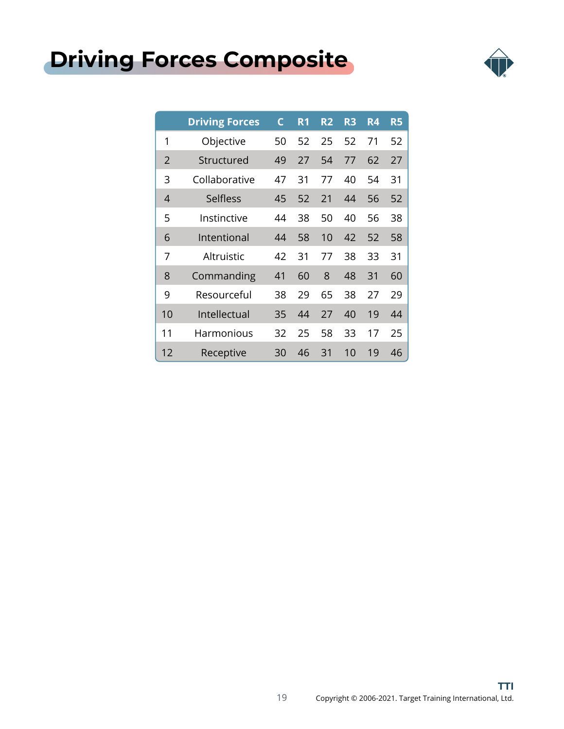### <span id="page-18-0"></span>**[Driving Forces Composite](#page-1-0)**



|                | <b>Driving Forces</b> | C  | R <sub>1</sub> | <b>R2</b> | R <sub>3</sub> | R4 | R <sub>5</sub> |
|----------------|-----------------------|----|----------------|-----------|----------------|----|----------------|
| 1              | Objective             | 50 | 52             | 25        | 52             | 71 | 52             |
| $\overline{2}$ | Structured            | 49 | 27             | 54        | 77             | 62 | 27             |
| 3              | Collaborative         | 47 | 31             | 77        | 40             | 54 | 31             |
| 4              | Selfless              | 45 | 52             | 21        | 44             | 56 | 52             |
| 5              | Instinctive           | 44 | 38             | 50        | 40             | 56 | 38             |
| 6              | Intentional           | 44 | 58             | 10        | 42             | 52 | 58             |
| 7              | Altruistic            | 42 | 31             | 77        | 38             | 33 | 31             |
| 8              | Commanding            | 41 | 60             | 8         | 48             | 31 | 60             |
| 9              | Resourceful           | 38 | 29             | 65        | 38             | 27 | 29             |
| 10             | Intellectual          | 35 | 44             | 27        | 40             | 19 | 44             |
| 11             | Harmonious            | 32 | 25             | 58        | 33             | 17 | 25             |
| 12             | Receptive             | 30 | 46             | 31        | 10             | 19 | 46             |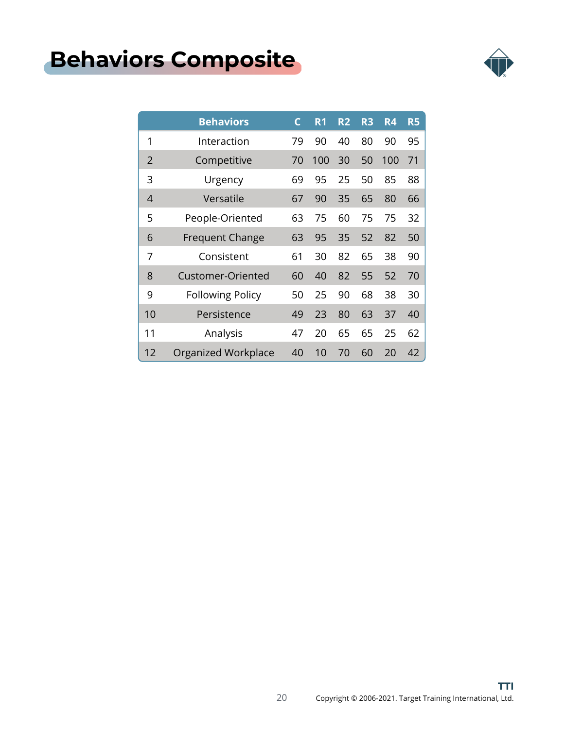### <span id="page-19-0"></span>**[Behaviors Composite](#page-1-0)**



|    | <b>Behaviors</b>        | C  | R <sub>1</sub> | R <sub>2</sub> | R <sub>3</sub> | R4  | <b>R5</b> |
|----|-------------------------|----|----------------|----------------|----------------|-----|-----------|
| 1  | Interaction             | 79 | 90             | 40             | 80             | 90  | 95        |
| 2  | Competitive             | 70 | 100            | 30             | 50             | 100 | 71        |
| 3  | Urgency                 | 69 | 95             | 25             | 50             | 85  | 88        |
| 4  | Versatile               | 67 | 90             | 35             | 65             | 80  | 66        |
| 5  | People-Oriented         | 63 | 75             | 60             | 75             | 75  | 32        |
| 6  | <b>Frequent Change</b>  | 63 | 95             | 35             | 52             | 82  | 50        |
| 7  | Consistent              | 61 | 30             | 82             | 65             | 38  | 90        |
| 8  | Customer-Oriented       | 60 | 40             | 82             | 55             | 52  | 70        |
| 9  | <b>Following Policy</b> | 50 | 25             | 90             | 68             | 38  | 30        |
| 10 | Persistence             | 49 | 23             | 80             | 63             | 37  | 40        |
| 11 | Analysis                | 47 | 20             | 65             | 65             | 25  | 62        |
| 12 | Organized Workplace     | 40 | 10             | 70             | 60             | 20  | 42        |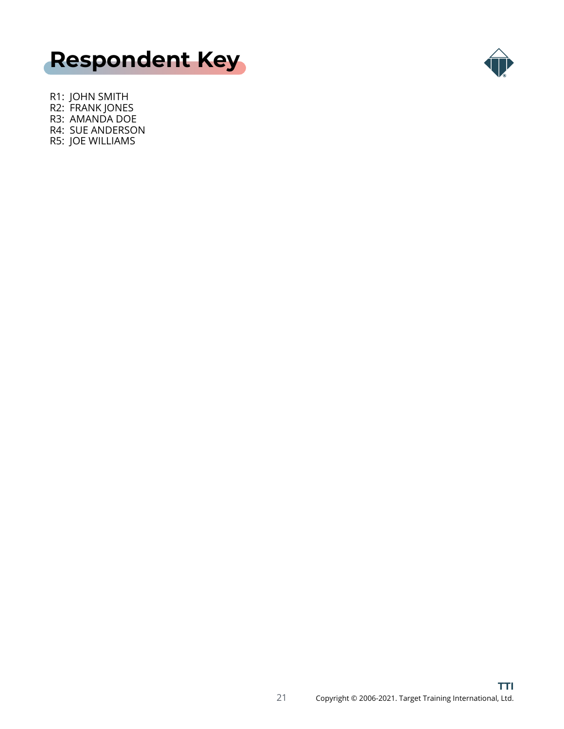<span id="page-20-0"></span>



R1: JOHN SMITH R2: FRANK JONES R3: AMANDA DOE R4: SUE ANDERSON R5: JOE WILLIAMS